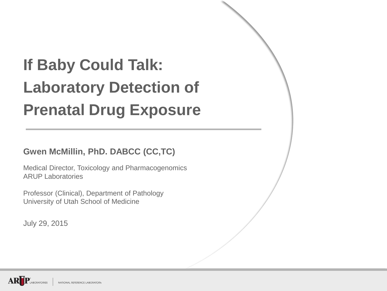## **If Baby Could Talk: Laboratory Detection of Prenatal Drug Exposure**

**Gwen McMillin, PhD. DABCC (CC,TC)**

Medical Director, Toxicology and Pharmacogenomics ARUP Laboratories

Professor (Clinical), Department of Pathology University of Utah School of Medicine

July 29, 2015

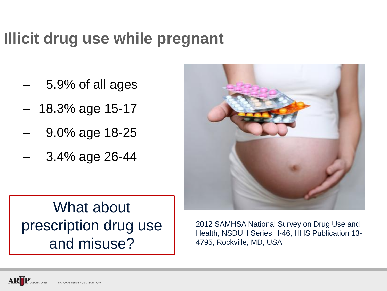#### **Illicit drug use while pregnant**

- 5.9% of all ages
- 18.3% age 15-17
- 9.0% age 18-25
- 3.4% age 26-44



#### What about prescription drug use and misuse?

2012 SAMHSA National Survey on Drug Use and Health, NSDUH Series H-46, HHS Publication 13- 4795, Rockville, MD, USA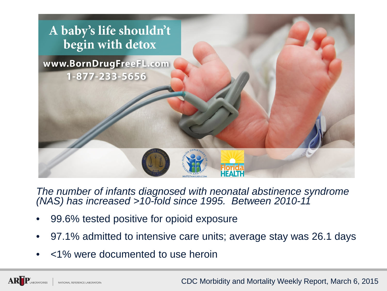

*The number of infants diagnosed with neonatal abstinence syndrome (NAS) has increased >10-fold since 1995. Between 2010-11*

- 99.6% tested positive for opioid exposure
- 97.1% admitted to intensive care units; average stay was 26.1 days
- <1% were documented to use heroin

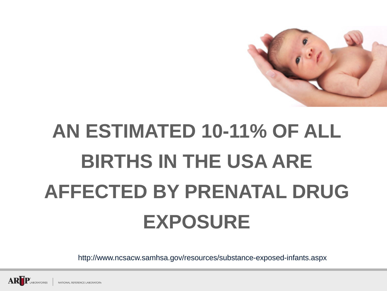

# **AN ESTIMATED 10-11% OF ALL BIRTHS IN THE USA ARE AFFECTED BY PRENATAL DRUG EXPOSURE**

http://www.ncsacw.samhsa.gov/resources/substance-exposed-infants.aspx

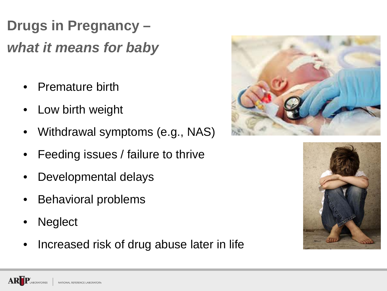**Drugs in Pregnancy –** *what it means for baby*

- Premature birth
- Low birth weight
- Withdrawal symptoms (e.g., NAS)
- Feeding issues / failure to thrive
- Developmental delays
- Behavioral problems
- **Neglect**
- Increased risk of drug abuse later in life



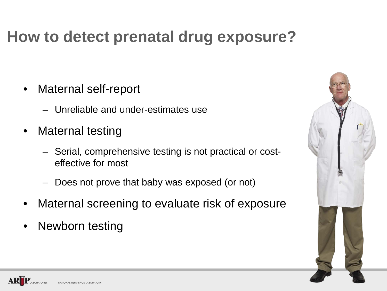#### **How to detect prenatal drug exposure?**

- Maternal self-report
	- Unreliable and under-estimates use
- Maternal testing
	- Serial, comprehensive testing is not practical or costeffective for most
	- Does not prove that baby was exposed (or not)
- Maternal screening to evaluate risk of exposure
- Newborn testing

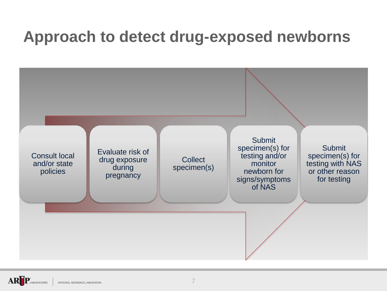#### **Approach to detect drug-exposed newborns**

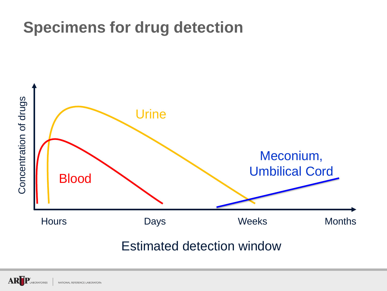#### **Specimens for drug detection**



Estimated detection window

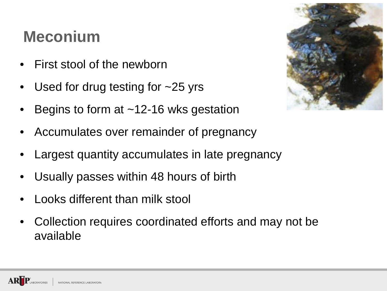#### **Meconium**

- First stool of the newborn
- Used for drug testing for  $\sim$ 25 yrs
- Begins to form at  $~12-16$  wks gestation
- Accumulates over remainder of pregnancy
- Largest quantity accumulates in late pregnancy
- Usually passes within 48 hours of birth
- Looks different than milk stool
- Collection requires coordinated efforts and may not be available

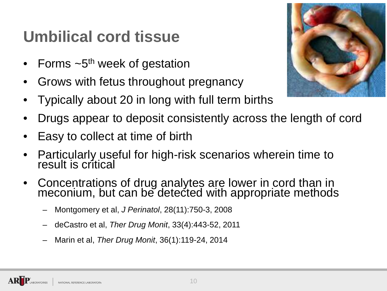### **Umbilical cord tissue**

- Forms  $\sim$ 5<sup>th</sup> week of gestation
- Grows with fetus throughout pregnancy
- Typically about 20 in long with full term births
- Drugs appear to deposit consistently across the length of cord
- Easy to collect at time of birth
- Particularly useful for high-risk scenarios wherein time to result is critical
- Concentrations of drug analytes are lower in cord than in meconium, but can be detected with appropriate methods
	- Montgomery et al, *J Perinatol*, 28(11):750-3, 2008
	- deCastro et al, *Ther Drug Monit*, 33(4):443-52, 2011
	- Marin et al, *Ther Drug Monit*, 36(1):119-24, 2014

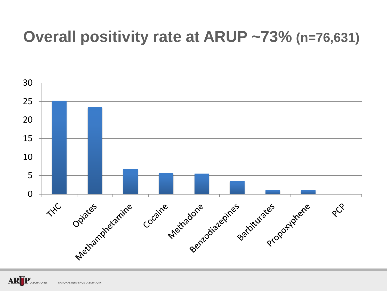#### **Overall positivity rate at ARUP ~73% (n=76,631)**



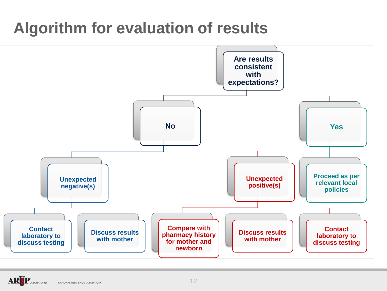### **Algorithm for evaluation of results**

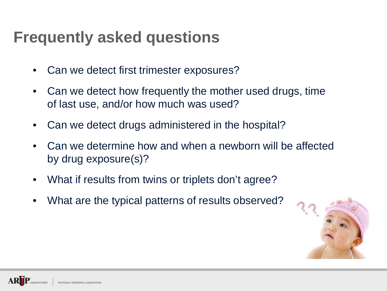#### **Frequently asked questions**

- Can we detect first trimester exposures?
- Can we detect how frequently the mother used drugs, time of last use, and/or how much was used?
- Can we detect drugs administered in the hospital?
- Can we determine how and when a newborn will be affected by drug exposure(s)?
- What if results from twins or triplets don't agree?
- What are the typical patterns of results observed?

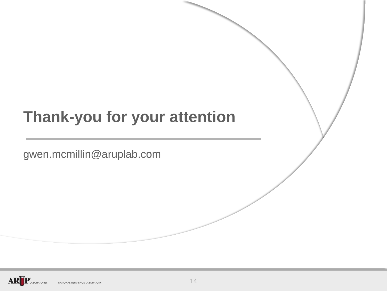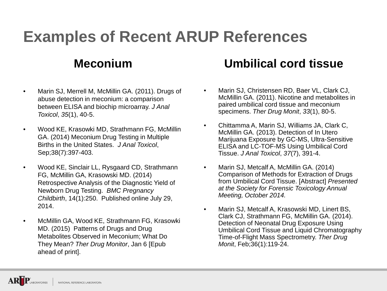### **Examples of Recent ARUP References**

#### **Meconium**

- Marin SJ, Merrell M, McMillin GA. (2011). Drugs of abuse detection in meconium: a comparison between ELISA and biochip microarray. *J Anal Toxicol*, *35*(1), 40-5.
- Wood KE, Krasowki MD, Strathmann FG, McMillin GA. (2014) Meconium Drug Testing in Multiple Births in the United States. *J Anal Toxicol*, Sep;38(7):397-403.
- Wood KE, Sinclair LL, Rysgaard CD, Strathmann FG, McMillin GA, Krasowski MD. (2014) Retrospective Analysis of the Diagnostic Yield of Newborn Drug Testing. *BMC Pregnancy Childbirth*, 14(1):250. Published online July 29, 2014.
- McMillin GA, Wood KE, Strathmann FG, Krasowki MD. (2015) Patterns of Drugs and Drug Metabolites Observed in Meconium; What Do They Mean? *Ther Drug Monitor*, Jan 6 [Epub ahead of print].

#### **Umbilical cord tissue**

- Marin SJ, Christensen RD, Baer VL, Clark CJ, McMillin GA. (2011). Nicotine and metabolites in paired umbilical cord tissue and meconium specimens. *Ther Drug Monit*, *33*(1), 80-5.
- Chittamma A, Marin SJ, Williams JA, Clark C, McMillin GA. (2013). Detection of In Utero Marijuana Exposure by GC-MS, Ultra-Sensitive ELISA and LC-TOF-MS Using Umbilical Cord Tissue. *J Anal Toxicol*, *37*(7), 391-4.
- Marin SJ, Metcalf A, McMillin GA. (2014) Comparison of Methods for Extraction of Drugs from Umbilical Cord Tissue. [Abstract] *Presented at the Society for Forensic Toxicology Annual Meeting, October 2014.*
- Marin SJ, Metcalf A, Krasowski MD, Linert BS, Clark CJ, Strathmann FG, McMillin GA. (2014). Detection of Neonatal Drug Exposure Using Umbilical Cord Tissue and Liquid Chromatography Time-of-Flight Mass Spectrometry. *Ther Drug Monit*, Feb;36(1):119-24.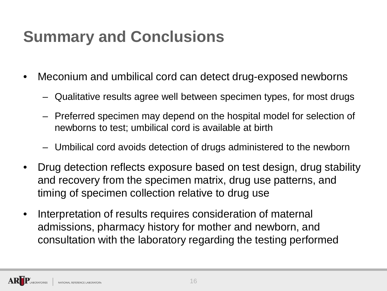## **Summary and Conclusions**

- Meconium and umbilical cord can detect drug-exposed newborns
	- Qualitative results agree well between specimen types, for most drugs
	- Preferred specimen may depend on the hospital model for selection of newborns to test; umbilical cord is available at birth
	- Umbilical cord avoids detection of drugs administered to the newborn
- Drug detection reflects exposure based on test design, drug stability and recovery from the specimen matrix, drug use patterns, and timing of specimen collection relative to drug use
- Interpretation of results requires consideration of maternal admissions, pharmacy history for mother and newborn, and consultation with the laboratory regarding the testing performed